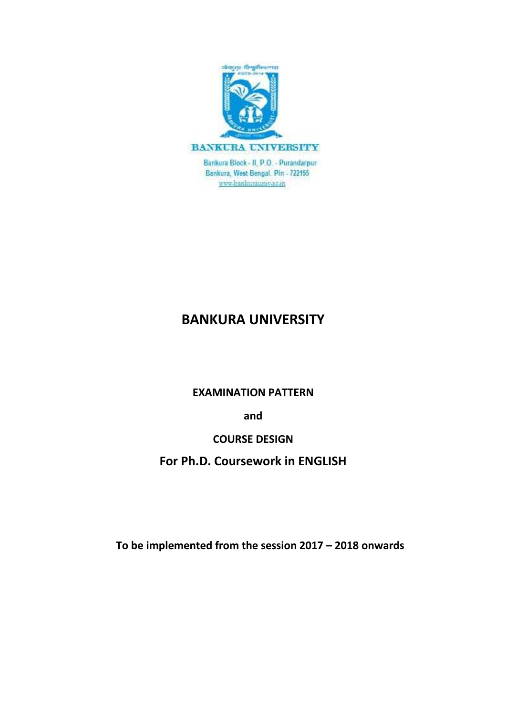

Bankura Block - II, P.O. - Purandarpur Bankura, West Bengal, Pin - 722155 www.bankurauniv.ac.in

# **BANKURA UNIVERSITY**

### **EXAMINATION PATTERN**

**and**

## **COURSE DESIGN**

**For Ph.D. Coursework in ENGLISH**

**To be implemented from the session 2017 – 2018 onwards**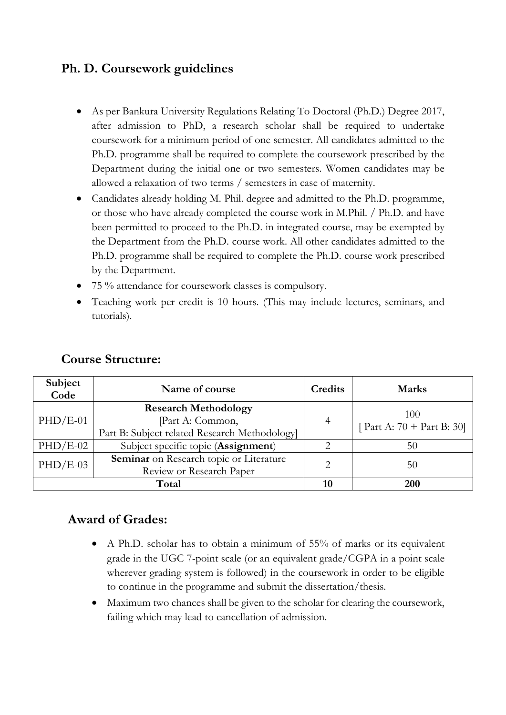# **Ph. D. Coursework guidelines**

- As per Bankura University Regulations Relating To Doctoral (Ph.D.) Degree 2017, after admission to PhD, a research scholar shall be required to undertake coursework for a minimum period of one semester. All candidates admitted to the Ph.D. programme shall be required to complete the coursework prescribed by the Department during the initial one or two semesters. Women candidates may be allowed a relaxation of two terms / semesters in case of maternity.
- Candidates already holding M. Phil. degree and admitted to the Ph.D. programme, or those who have already completed the course work in M.Phil. / Ph.D. and have been permitted to proceed to the Ph.D. in integrated course, may be exempted by the Department from the Ph.D. course work. All other candidates admitted to the Ph.D. programme shall be required to complete the Ph.D. course work prescribed by the Department.
- 75 % attendance for coursework classes is compulsory.
- Teaching work per credit is 10 hours. (This may include lectures, seminars, and tutorials).

| Subject<br>Code | Name of course                                                                                  | Credits | <b>Marks</b>                        |
|-----------------|-------------------------------------------------------------------------------------------------|---------|-------------------------------------|
| $PHD/E-01$      | <b>Research Methodology</b><br>Part A: Common,<br>Part B: Subject related Research Methodology] | 4       | 100<br>[ Part A: $70 +$ Part B: 30] |
| $PHD/E-02$      | Subject specific topic (Assignment)                                                             | 2       | 50                                  |
| $PHD/E-03$      | Seminar on Research topic or Literature<br>Review or Research Paper                             |         | 50                                  |
|                 | Total                                                                                           | 10      | 200                                 |

### **Course Structure:**

## **Award of Grades:**

- A Ph.D. scholar has to obtain a minimum of 55% of marks or its equivalent grade in the UGC 7-point scale (or an equivalent grade/CGPA in a point scale wherever grading system is followed) in the coursework in order to be eligible to continue in the programme and submit the dissertation/thesis.
- Maximum two chances shall be given to the scholar for clearing the coursework, failing which may lead to cancellation of admission.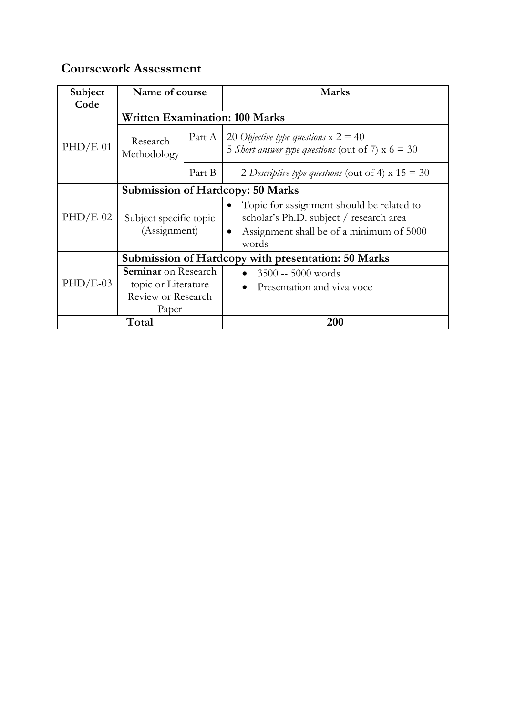# **Coursework Assessment**

| Subject<br>Code | Name of course                                                                   |        | <b>Marks</b>                                                                                                                                           |  |  |
|-----------------|----------------------------------------------------------------------------------|--------|--------------------------------------------------------------------------------------------------------------------------------------------------------|--|--|
|                 | <b>Written Examination: 100 Marks</b>                                            |        |                                                                                                                                                        |  |  |
| $PHD/E-01$      | Research<br>Methodology                                                          | Part A | 20 Objective type questions $x 2 = 40$<br>5 <i>Short answer type questions</i> (out of 7) $x$ 6 = 30                                                   |  |  |
|                 |                                                                                  | Part B | 2 Descriptive type questions (out of 4) $x 15 = 30$                                                                                                    |  |  |
|                 | <b>Submission of Hardcopy: 50 Marks</b>                                          |        |                                                                                                                                                        |  |  |
| $PHD/E-02$      | Subject specific topic<br>(Assignment)                                           |        | Topic for assignment should be related to<br>scholar's Ph.D. subject / research area<br>Assignment shall be of a minimum of 5000<br>$\bullet$<br>words |  |  |
|                 | Submission of Hardcopy with presentation: 50 Marks                               |        |                                                                                                                                                        |  |  |
| $PHD/E-03$      | <b>Seminar</b> on Research<br>topic or Literature<br>Review or Research<br>Paper |        | $3500 - 5000$ words<br>Presentation and viva voce                                                                                                      |  |  |
| Total           |                                                                                  |        | <b>200</b>                                                                                                                                             |  |  |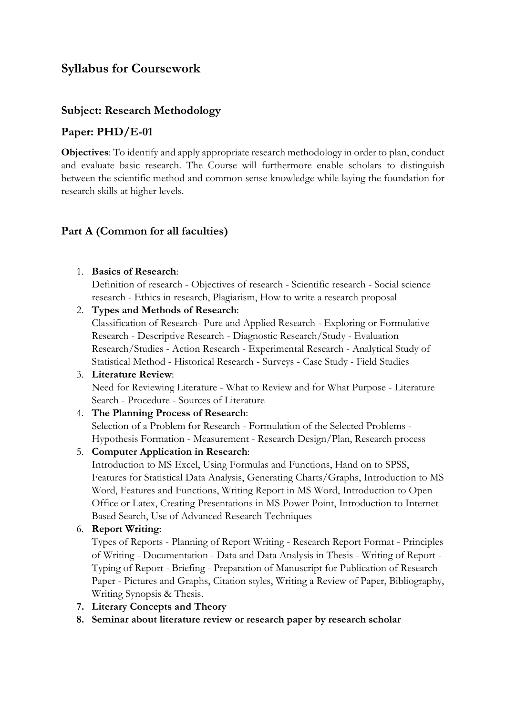# **Syllabus for Coursework**

#### **Subject: Research Methodology**

#### **Paper: PHD/E-01**

**Objectives**: To identify and apply appropriate research methodology in order to plan, conduct and evaluate basic research. The Course will furthermore enable scholars to distinguish between the scientific method and common sense knowledge while laying the foundation for research skills at higher levels.

#### **Part A (Common for all faculties)**

1. **Basics of Research**:

Definition of research - Objectives of research - Scientific research - Social science research - Ethics in research, Plagiarism, How to write a research proposal

2. **Types and Methods of Research**:

Classification of Research- Pure and Applied Research - Exploring or Formulative Research - Descriptive Research - Diagnostic Research/Study - Evaluation Research/Studies - Action Research - Experimental Research - Analytical Study of Statistical Method - Historical Research - Surveys - Case Study - Field Studies

3. **Literature Review**: Need for Reviewing Literature - What to Review and for What Purpose - Literature Search - Procedure - Sources of Literature

#### 4. **The Planning Process of Research**:

Selection of a Problem for Research - Formulation of the Selected Problems - Hypothesis Formation - Measurement - Research Design/Plan, Research process

5. **Computer Application in Research**:

Introduction to MS Excel, Using Formulas and Functions, Hand on to SPSS, Features for Statistical Data Analysis, Generating Charts/Graphs, Introduction to MS Word, Features and Functions, Writing Report in MS Word, Introduction to Open Office or Latex, Creating Presentations in MS Power Point, Introduction to Internet Based Search, Use of Advanced Research Techniques

#### 6. **Report Writing**:

Types of Reports - Planning of Report Writing - Research Report Format - Principles of Writing - Documentation - Data and Data Analysis in Thesis - Writing of Report - Typing of Report - Briefing - Preparation of Manuscript for Publication of Research Paper - Pictures and Graphs, Citation styles, Writing a Review of Paper, Bibliography, Writing Synopsis & Thesis.

- **7. Literary Concepts and Theory**
- **8. Seminar about literature review or research paper by research scholar**